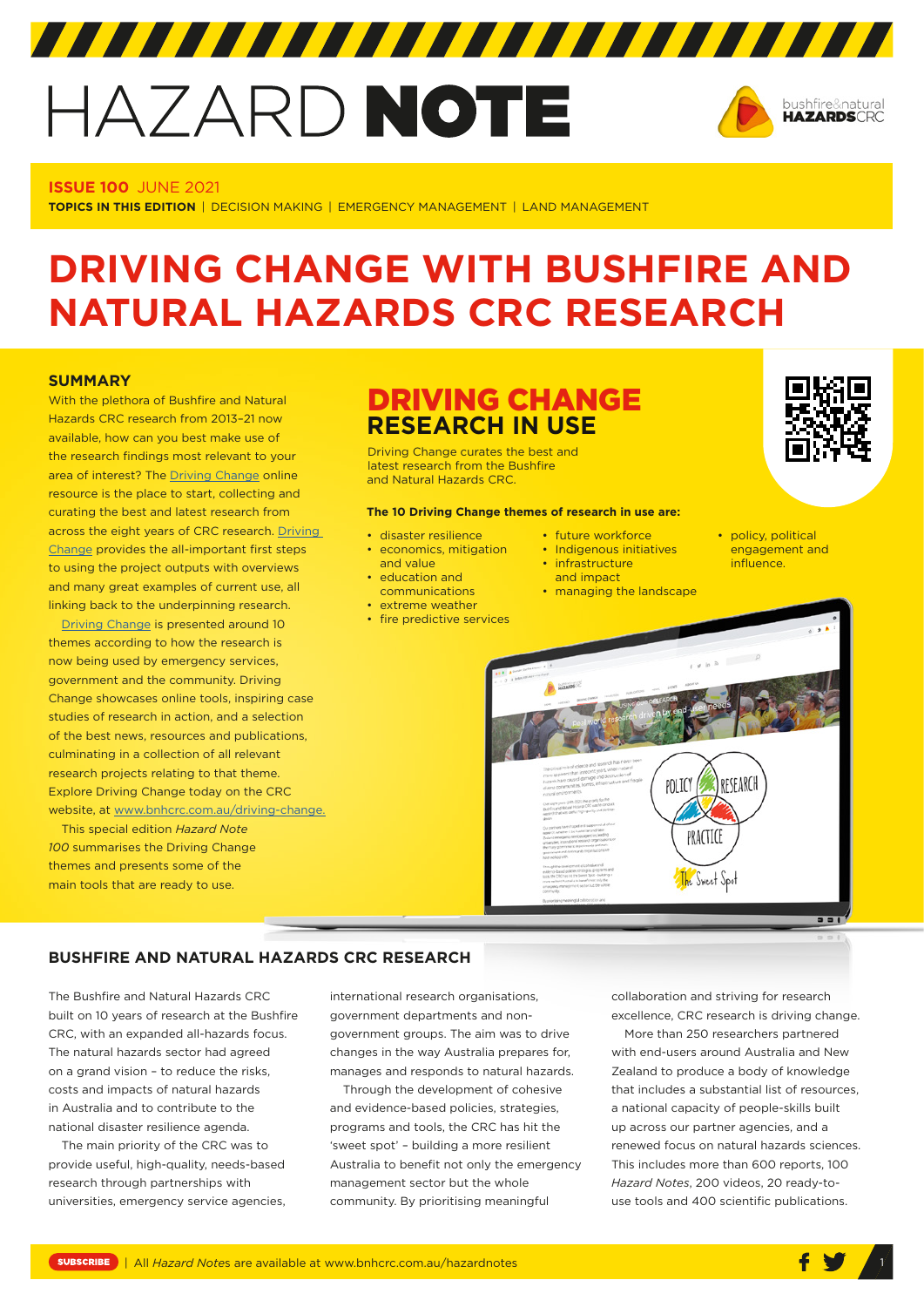# HAZARD NOTE



#### **ISSUE 100** JUNE 2021

**TOPICS IN THIS EDITION** | DECISION MAKING | EMERGENCY MANAGEMENT | LAND MANAGEMENT

## **DRIVING CHANGE WITH BUSHFIRE AND NATURAL HAZARDS CRC RESEARCH**

#### **SUMMARY**

With the plethora of Bushfire and Natural Hazards CRC research from 2013–21 now available, how can you best make use of the research findings most relevant to your area of interest? The [Driving Change](https://www.bnhcrc.com.au/driving-change) online resource is the place to start, collecting and curating the best and latest research from across the eight years of CRC research. [Driving](https://www.bnhcrc.com.au/driving-change)  [Change](https://www.bnhcrc.com.au/driving-change) provides the all-important first steps to using the project outputs with overviews and many great examples of current use, all linking back to the underpinning research.

[Driving Change](https://www.bnhcrc.com.au/driving-change) is presented around 10 themes according to how the research is now being used by emergency services, government and the community. Driving Change showcases online tools, inspiring case studies of research in action, and a selection of the best news, resources and publications, culminating in a collection of all relevant research projects relating to that theme. Explore Driving Change today on the CRC website, at [www.bnhcrc.com.au/driving-change.](http://www.bnhcrc.com.au/driving-change)

This special edition *Hazard Note 100* summarises the Driving Change themes and presents some of the main tools that are ready to use.

### DRIVING CHANGE **RESEARCH IN USE**

Driving Change curates the best and latest research from the Bushfire and Natural Hazards CRC.

#### **The 10 Driving Change themes of research in use are:**

- disaster resilience • economics, mitigation
	- and value
	- education and
- communications
- extreme weather
- fire predictive services
- future workforce
- Indigenous initiatives • infrastructure
- and impact
- managing the landscape



• policy, political engagement and influence.



#### **BUSHFIRE AND NATURAL HAZARDS CRC RESEARCH**

The Bushfire and Natural Hazards CRC built on 10 years of research at the Bushfire CRC, with an expanded all-hazards focus. The natural hazards sector had agreed on a grand vision – to reduce the risks, costs and impacts of natural hazards in Australia and to contribute to the national disaster resilience agenda.

The main priority of the CRC was to provide useful, high-quality, needs-based research through partnerships with universities, emergency service agencies, international research organisations, government departments and nongovernment groups. The aim was to drive changes in the way Australia prepares for, manages and responds to natural hazards.

Through the development of cohesive and evidence-based policies, strategies, programs and tools, the CRC has hit the 'sweet spot' – building a more resilient Australia to benefit not only the emergency management sector but the whole community. By prioritising meaningful

collaboration and striving for research excellence, CRC research is driving change.

More than 250 researchers partnered with end-users around Australia and New Zealand to produce a body of knowledge that includes a substantial list of resources, a national capacity of people-skills built up across our partner agencies, and a renewed focus on natural hazards sciences. This includes more than 600 reports, 100 *Hazard Notes*, 200 videos, 20 ready-touse tools and 400 scientific publications.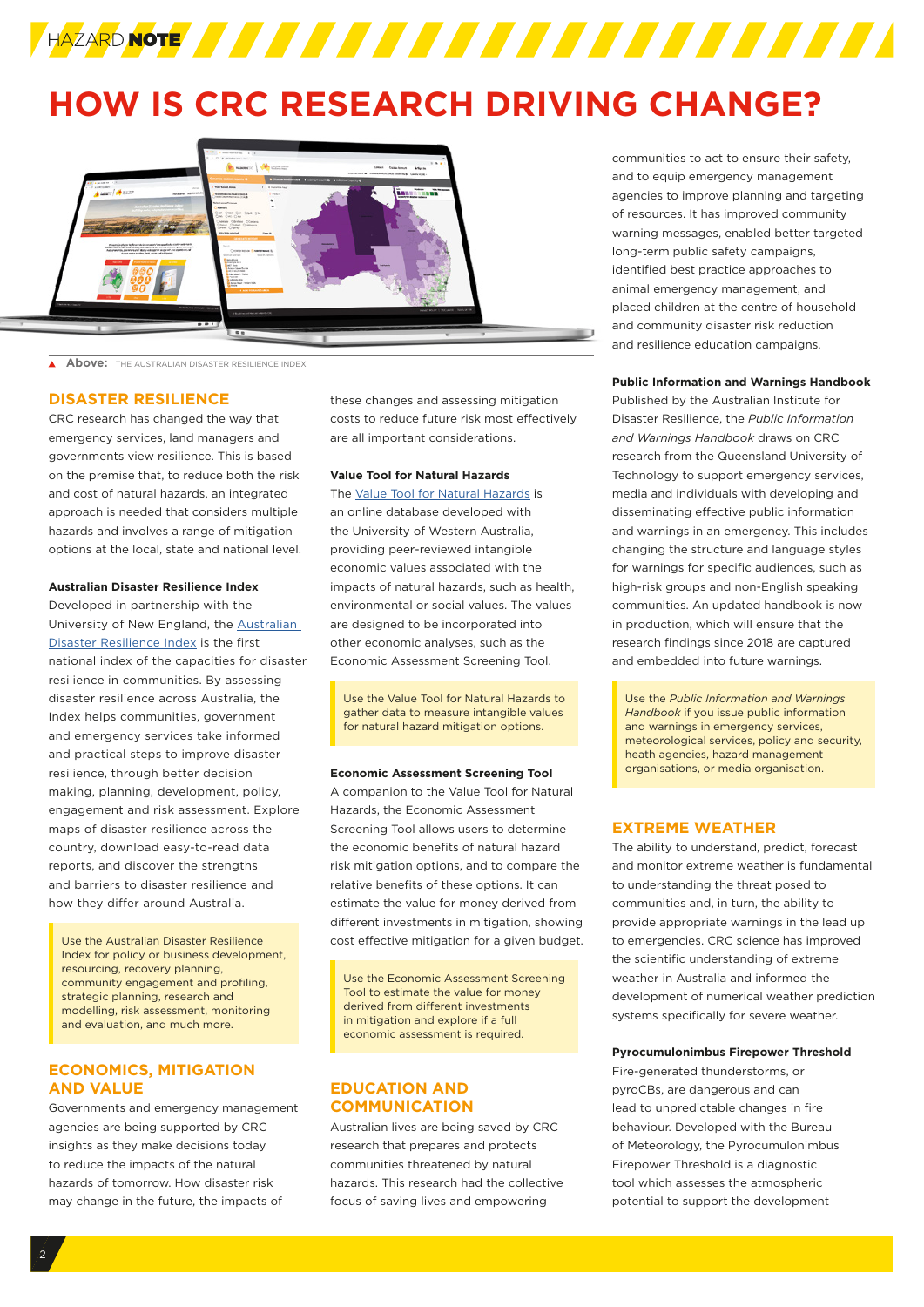

## **HOW IS CRC RESEARCH DRIVING CHANGE?**



 $\blacktriangle$  . **Above:** THE AUSTRALIAN DISASTER RESILIENCE INDEX

#### **DISASTER RESILIENCE**

CRC research has changed the way that emergency services, land managers and governments view resilience. This is based on the premise that, to reduce both the risk and cost of natural hazards, an integrated approach is needed that considers multiple hazards and involves a range of mitigation options at the local, state and national level.

#### **Australian Disaster Resilience Index**

Developed in partnership with the University of New England, the [Australian](https://adri.bnhcrc.com.au/)  [Disaster Resilience Index](https://adri.bnhcrc.com.au/) is the first national index of the capacities for disaster resilience in communities. By assessing disaster resilience across Australia, the Index helps communities, government and emergency services take informed and practical steps to improve disaster resilience, through better decision making, planning, development, policy, engagement and risk assessment. Explore maps of disaster resilience across the country, download easy-to-read data reports, and discover the strengths and barriers to disaster resilience and how they differ around Australia.

Use the Australian Disaster Resilience Index for policy or business development, resourcing, recovery planning, community engagement and profiling, strategic planning, research and modelling, risk assessment, monitoring and evaluation, and much more.

#### **ECONOMICS, MITIGATION AND VALUE**

Governments and emergency management agencies are being supported by CRC insights as they make decisions today to reduce the impacts of the natural hazards of tomorrow. How disaster risk may change in the future, the impacts of

these changes and assessing mitigation costs to reduce future risk most effectively are all important considerations.

#### **Value Tool for Natural Hazards**

The [Value Tool for Natural Hazards](https://tools.bnhcrc.com.au/wtp/home) is an online database developed with the University of Western Australia, providing peer-reviewed intangible economic values associated with the impacts of natural hazards, such as health, environmental or social values. The values are designed to be incorporated into other economic analyses, such as the Economic Assessment Screening Tool.

Use the Value Tool for Natural Hazards to gather data to measure intangible values for natural hazard mitigation options.

#### **Economic Assessment Screening Tool**

A companion to the Value Tool for Natural Hazards, the Economic Assessment Screening Tool allows users to determine the economic benefits of natural hazard risk mitigation options, and to compare the relative benefits of these options. It can estimate the value for money derived from different investments in mitigation, showing cost effective mitigation for a given budget.

Use the Economic Assessment Screening Tool to estimate the value for money derived from different investments in mitigation and explore if a full economic assessment is required.

#### **EDUCATION AND COMMUNICATION**

Australian lives are being saved by CRC research that prepares and protects communities threatened by natural hazards. This research had the collective focus of saving lives and empowering

communities to act to ensure their safety, and to equip emergency management agencies to improve planning and targeting of resources. It has improved community warning messages, enabled better targeted long-term public safety campaigns, identified best practice approaches to animal emergency management, and placed children at the centre of household and community disaster risk reduction and resilience education campaigns.

#### **Public Information and Warnings Handbook**

Published by the Australian Institute for Disaster Resilience, the *[Public Information](https://knowledge.aidr.org.au/resources/public-information-and-warnings-handbook/)  [and Warnings Handbook](https://knowledge.aidr.org.au/resources/public-information-and-warnings-handbook/)* draws on CRC research from the Queensland University of Technology to support emergency services, media and individuals with developing and disseminating effective public information and warnings in an emergency. This includes changing the structure and language styles for warnings for specific audiences, such as high-risk groups and non-English speaking communities. An updated handbook is now in production, which will ensure that the research findings since 2018 are captured and embedded into future warnings.

Use the *Public Information and Warnings Handbook* if you issue public information and warnings in emergency services, meteorological services, policy and security, heath agencies, hazard management organisations, or media organisation.

#### **EXTREME WEATHER**

The ability to understand, predict, forecast and monitor extreme weather is fundamental to understanding the threat posed to communities and, in turn, the ability to provide appropriate warnings in the lead up to emergencies. CRC science has improved the scientific understanding of extreme weather in Australia and informed the development of numerical weather prediction systems specifically for severe weather.

#### **Pyrocumulonimbus Firepower Threshold**

Fire-generated thunderstorms, or pyroCBs, are dangerous and can lead to unpredictable changes in fire behaviour. Developed with the Bureau of Meteorology, the Pyrocumulonimbus Firepower Threshold is a diagnostic tool which assesses the atmospheric potential to support the development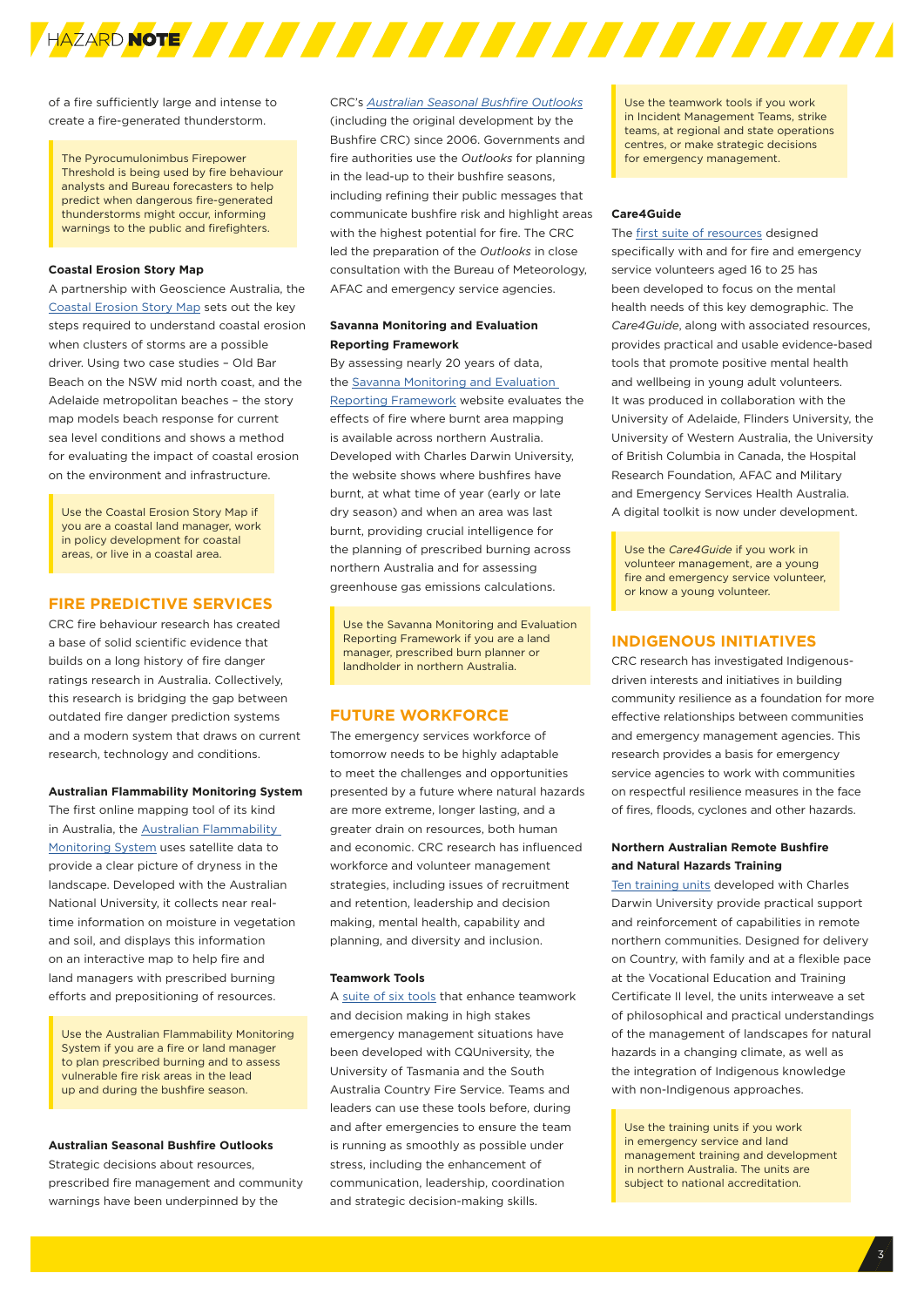

of a fire sufficiently large and intense to create a fire-generated thunderstorm.

The Pyrocumulonimbus Firepower Threshold is being used by fire behaviour analysts and Bureau forecasters to help predict when dangerous fire-generated thunderstorms might occur, informing warnings to the public and firefighters.

#### **Coastal Erosion Story Map**

A partnership with Geoscience Australia, the [Coastal Erosion Story Map](https://geoscience-au.maps.arcgis.com/apps/Cascade/index.html?appid=14c50929ce1144f395bdd801440983d7) sets out the key steps required to understand coastal erosion when clusters of storms are a possible driver. Using two case studies – Old Bar Beach on the NSW mid north coast, and the Adelaide metropolitan beaches – the story map models beach response for current sea level conditions and shows a method for evaluating the impact of coastal erosion on the environment and infrastructure.

Use the Coastal Erosion Story Map if you are a coastal land manager, work in policy development for coastal areas, or live in a coastal area.

#### **FIRE PREDICTIVE SERVICES**

CRC fire behaviour research has created a base of solid scientific evidence that builds on a long history of fire danger ratings research in Australia. Collectively, this research is bridging the gap between outdated fire danger prediction systems and a modern system that draws on current research, technology and conditions.

#### **Australian Flammability Monitoring System**

The first online mapping tool of its kind in Australia, the Australian Flammability Monitoring System uses satellite data to provide a clear picture of dryness in the landscape. Developed with the Australian National University, it collects near realtime information on moisture in vegetation and soil, and displays this information on an interactive map to help fire and land managers with prescribed burning efforts and prepositioning of resources.

Use the Australian Flammability Monitoring System if you are a fire or land manager to plan prescribed burning and to assess vulnerable fire risk areas in the lead up and during the bushfire season.

#### **Australian Seasonal Bushfire Outlooks**

Strategic decisions about resources, prescribed fire management and community warnings have been underpinned by the

CRC's *[Australian Seasonal Bushfire Outlooks](http://www.bnhcrc.com.au/hazardnotes)* (including the original development by the Bushfire CRC) since 2006. Governments and fire authorities use the *Outlooks* for planning in the lead-up to their bushfire seasons, including refining their public messages that communicate bushfire risk and highlight areas with the highest potential for fire. The CRC led the preparation of the *Outlooks* in close consultation with the Bureau of Meteorology, AFAC and emergency service agencies.

#### **Savanna Monitoring and Evaluation Reporting Framework**

By assessing nearly 20 years of data, the [Savanna Monitoring and Evaluation](https://infonet.org.au/smerf-crc/)  [Reporting Framework](https://infonet.org.au/smerf-crc/) website evaluates the effects of fire where burnt area mapping is available across northern Australia. Developed with Charles Darwin University, the website shows where bushfires have burnt, at what time of year (early or late dry season) and when an area was last burnt, providing crucial intelligence for the planning of prescribed burning across northern Australia and for assessing greenhouse gas emissions calculations.

Use the Savanna Monitoring and Evaluation Reporting Framework if you are a land manager, prescribed burn planner or landholder in northern Australia.

#### **FUTURE WORKFORCE**

The emergency services workforce of tomorrow needs to be highly adaptable to meet the challenges and opportunities presented by a future where natural hazards are more extreme, longer lasting, and a greater drain on resources, both human and economic. CRC research has influenced workforce and volunteer management strategies, including issues of recruitment and retention, leadership and decision making, mental health, capability and planning, and diversity and inclusion.

#### **Teamwork Tools**

A [suite of six tools](https://www.bnhcrc.com.au/driving-change/tools) that enhance teamwork and decision making in high stakes emergency management situations have been developed with CQUniversity, the University of Tasmania and the South Australia Country Fire Service. Teams and leaders can use these tools before, during and after emergencies to ensure the team is running as smoothly as possible under stress, including the enhancement of communication, leadership, coordination and strategic decision-making skills.

Use the teamwork tools if you work in Incident Management Teams, strike teams, at regional and state operations centres, or make strategic decisions for emergency management.

#### **Care4Guide**

The [first suite of resources](http://www.bnhcrc.com.au/resources/volunteer-mental-health) designed specifically with and for fire and emergency service volunteers aged 16 to 25 has been developed to focus on the mental health needs of this key demographic. The *[Care4Guide](https://www.bnhcrc.com.au/driving-change/www.bnhcrc.com.au/resources/volunteer-mental-health)*, along with associated resources, provides practical and usable evidence-based tools that promote positive mental health and wellbeing in young adult volunteers. It was produced in collaboration with the University of Adelaide, Flinders University, the University of Western Australia, the University of British Columbia in Canada, the Hospital Research Foundation, AFAC and Military and Emergency Services Health Australia. A digital toolkit is now under development.

Use the *Care4Guide* if you work in volunteer management, are a young fire and emergency service volunteer, or know a young volunteer.

#### **INDIGENOUS INITIATIVES**

CRC research has investigated Indigenousdriven interests and initiatives in building community resilience as a foundation for more effective relationships between communities and emergency management agencies. This research provides a basis for emergency service agencies to work with communities on respectful resilience measures in the face of fires, floods, cyclones and other hazards.

#### **Northern Australian Remote Bushfire and Natural Hazards Training**

[Ten training units](https://www.dropbox.com/sh/jvv0j5t4e68ugpf/AADunB4VWnWC9aR2ZC3tC1nXa?dl=0) developed with Charles Darwin University provide practical support and reinforcement of capabilities in remote northern communities. Designed for delivery on Country, with family and at a flexible pace at the Vocational Education and Training Certificate II level, the units interweave a set of philosophical and practical understandings of the management of landscapes for natural hazards in a changing climate, as well as the integration of Indigenous knowledge with non-Indigenous approaches.

Use the training units if you work in emergency service and land management training and development in northern Australia. The units are subject to national accreditation.